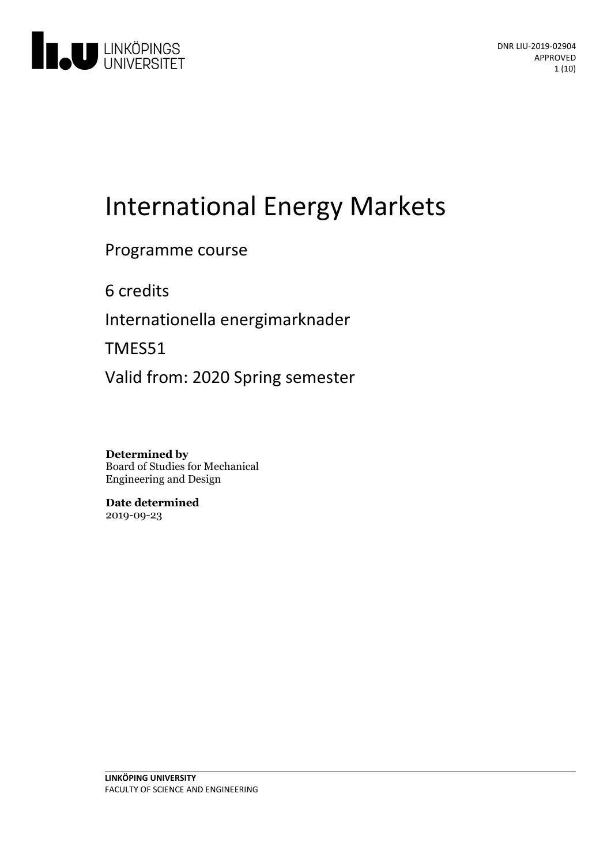

# International Energy Markets

## Programme course

6 credits

Internationella energimarknader

TMES51

Valid from: 2020 Spring semester

**Determined by** Board of Studies for Mechanical Engineering and Design

**Date determined** 2019-09-23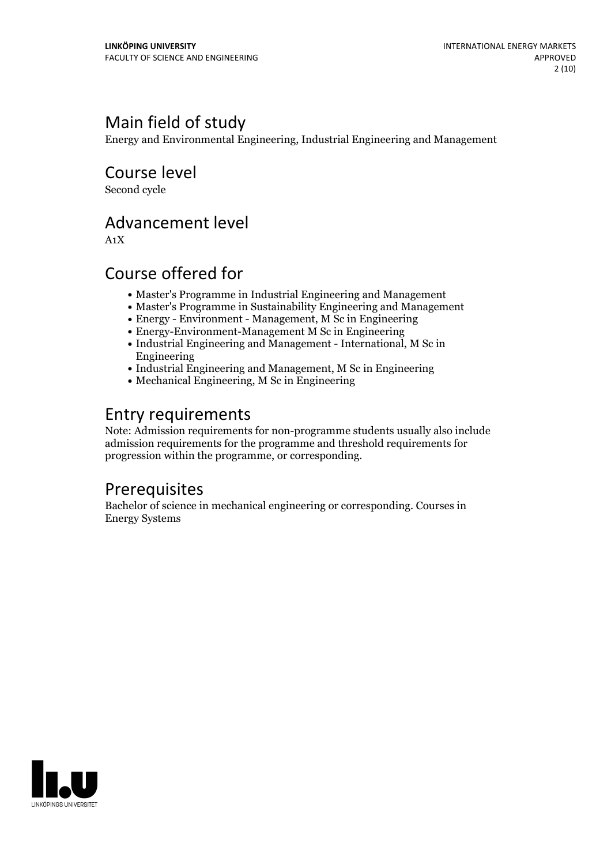## Main field of study

Energy and Environmental Engineering, Industrial Engineering and Management

Course level

Second cycle

## Advancement level

A1X

## Course offered for

- Master's Programme in Industrial Engineering and Management
- Master's Programme in Sustainability Engineering and Management
- Energy Environment Management, M Sc in Engineering
- Energy-Environment-Management M Sc in Engineering
- Industrial Engineering and Management International, M Sc in Engineering
- Industrial Engineering and Management, M Sc in Engineering
- Mechanical Engineering, M Sc in Engineering

## Entry requirements

Note: Admission requirements for non-programme students usually also include admission requirements for the programme and threshold requirements for progression within the programme, or corresponding.

### Prerequisites

Bachelor of science in mechanical engineering or corresponding. Courses in Energy Systems

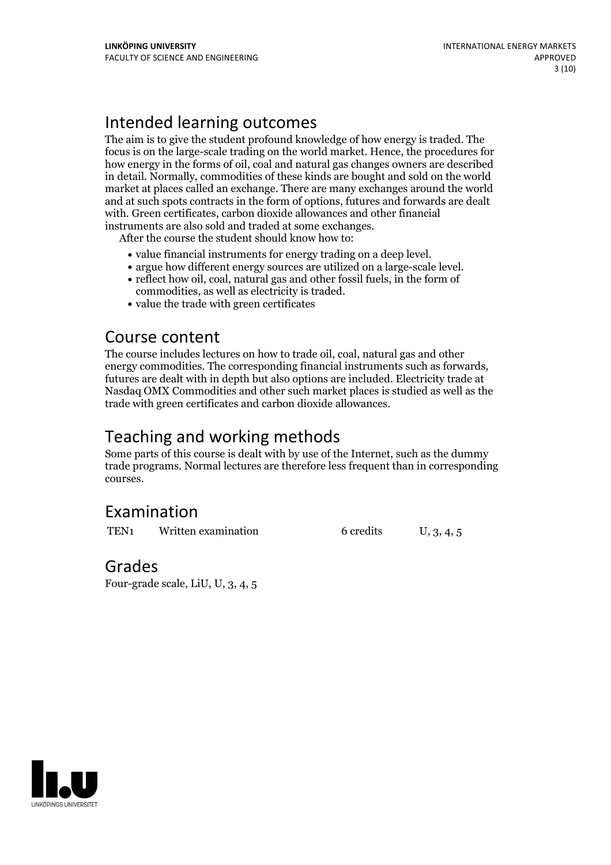## Intended learning outcomes

The aim is to give the student profound knowledge of how energy is traded. The focus is on the large-scale trading on the world market. Hence, the procedures for how energy in the forms of oil, coal and natural gas changes owners are described in detail. Normally, commodities of these kinds are bought and sold on the world market at places called an exchange. There are many exchanges around the world and at such spots contracts in the form of options, futures and forwards are dealt with. Green certificates, carbon dioxide allowances and other financial

instruments are also sold and traded at some exchanges. After the course the student should know how to:

- 
- value financial instruments for energy trading on <sup>a</sup> deep level. argue how different energy sources are utilized on <sup>a</sup> large-scale level. reflect how oil, coal, natural gas and other fossil fuels, in the form of
- commodities, as well as electricity is traded.<br>• value the trade with green certificates
- 

### Course content

The course includes lectures on how to trade oil, coal, natural gas and other energy commodities. The corresponding financial instruments such as forwards, futures are dealt with in depth but also options are included. Electricity trade at Nasdaq OMX Commodities and other such market places is studied as well as the trade with green certificates and carbon dioxide allowances.

### Teaching and working methods

Some parts of this course is dealt with by use of the Internet, such as the dummy trade programs. Normal lectures are therefore less frequent than in corresponding courses.

## Examination

TEN<sub>1</sub> Written examination 6 credits U, 3, 4, 5

### Grades

Four-grade scale, LiU, U, 3, 4, 5

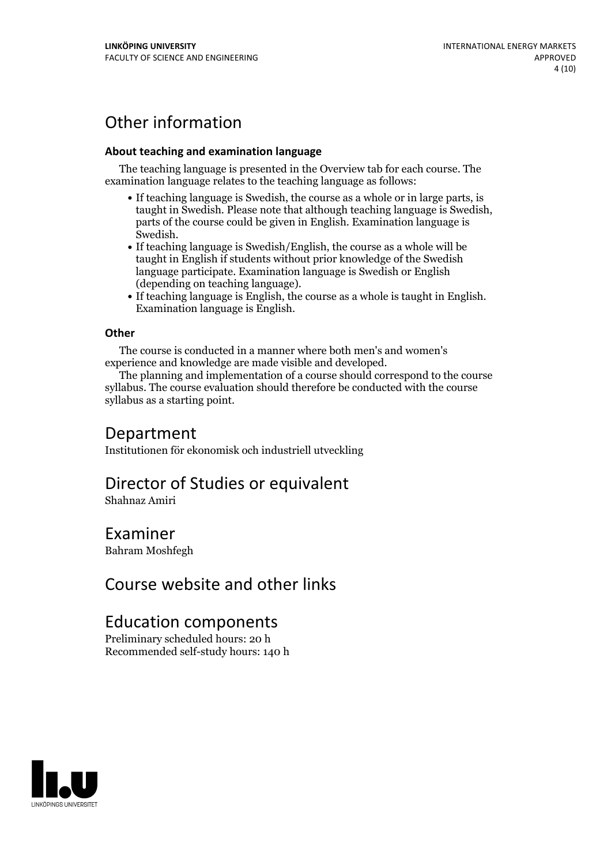## Other information

#### **About teaching and examination language**

The teaching language is presented in the Overview tab for each course. The examination language relates to the teaching language as follows:

- If teaching language is Swedish, the course as a whole or in large parts, is taught in Swedish. Please note that although teaching language is Swedish, parts of the course could be given in English. Examination language is
- Swedish.<br>• If teaching language is Swedish/English, the course as a whole will be taught in English if students without prior knowledge of the Swedish language participate. Examination language is Swedish or English
- (depending on teaching language).<br>
 If teaching language is English, the course as a whole is taught in English.<br>
Examination language is English.

#### **Other**

The course is conducted in a manner where both men's and women's

experience and knowledge are made visible and developed. The planning and implementation of <sup>a</sup> course should correspond to the course syllabus. The course evaluation should therefore be conducted with the course syllabus as a starting point.

### Department

Institutionen för ekonomisk och industriell utveckling

## Director of Studies or equivalent

Shahnaz Amiri

### Examiner

Bahram Moshfegh

## Course website and other links

## Education components

Preliminary scheduled hours: 20 h Recommended self-study hours: 140 h

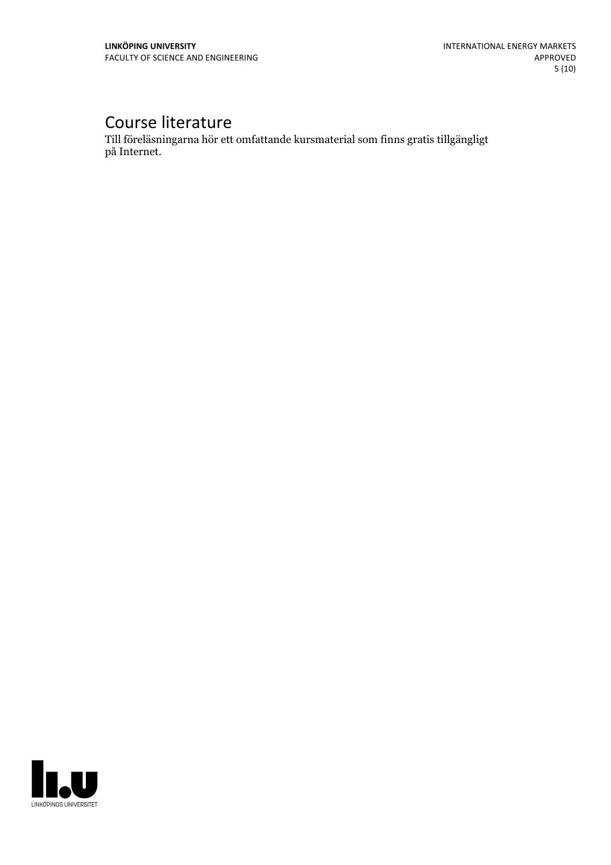## Course literature

Till föreläsningarna hör ett omfattande kursmaterial som finns gratis tillgängligt på Internet.

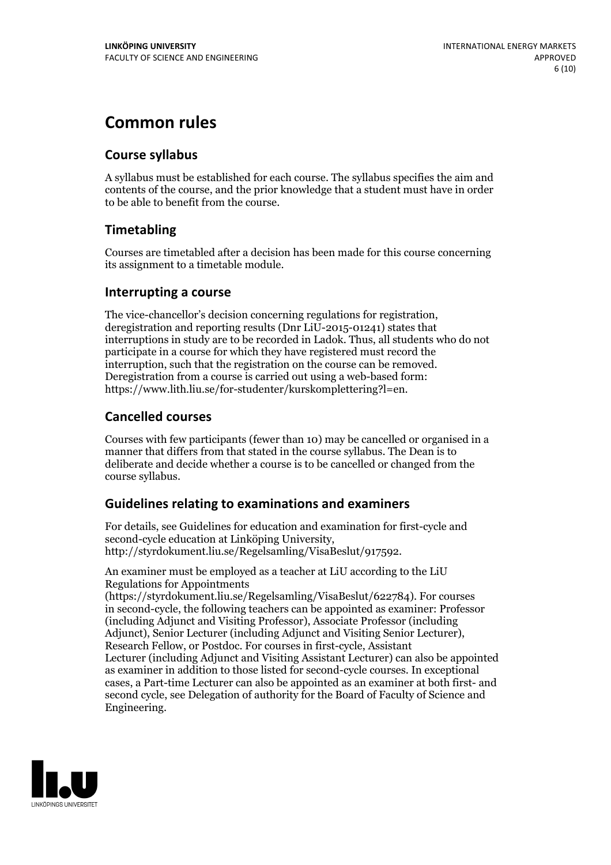## **Common rules**

#### **Course syllabus**

A syllabus must be established for each course. The syllabus specifies the aim and contents of the course, and the prior knowledge that a student must have in order to be able to benefit from the course.

### **Timetabling**

Courses are timetabled after a decision has been made for this course concerning its assignment to a timetable module.

#### **Interrupting a course**

The vice-chancellor's decision concerning regulations for registration, deregistration and reporting results (Dnr LiU-2015-01241) states that interruptions in study are to be recorded in Ladok. Thus, all students who do not participate in a course for which they have registered must record the interruption, such that the registration on the course can be removed. Deregistration from <sup>a</sup> course is carried outusing <sup>a</sup> web-based form: https://www.lith.liu.se/for-studenter/kurskomplettering?l=en.

### **Cancelled courses**

Courses with few participants (fewer than 10) may be cancelled or organised in a manner that differs from that stated in the course syllabus. The Dean is to deliberate and decide whether a course is to be cancelled or changed from the course syllabus.

### **Guidelines relatingto examinations and examiners**

For details, see Guidelines for education and examination for first-cycle and second-cycle education at Linköping University, http://styrdokument.liu.se/Regelsamling/VisaBeslut/917592.

An examiner must be employed as a teacher at LiU according to the LiU Regulations for Appointments

(https://styrdokument.liu.se/Regelsamling/VisaBeslut/622784). For courses in second-cycle, the following teachers can be appointed as examiner: Professor (including Adjunct and Visiting Professor), Associate Professor (including Adjunct), Senior Lecturer (including Adjunct and Visiting Senior Lecturer), Research Fellow, or Postdoc. For courses in first-cycle, Assistant Lecturer (including Adjunct and Visiting Assistant Lecturer) can also be appointed as examiner in addition to those listed for second-cycle courses. In exceptional cases, a Part-time Lecturer can also be appointed as an examiner at both first- and second cycle, see Delegation of authority for the Board of Faculty of Science and Engineering.

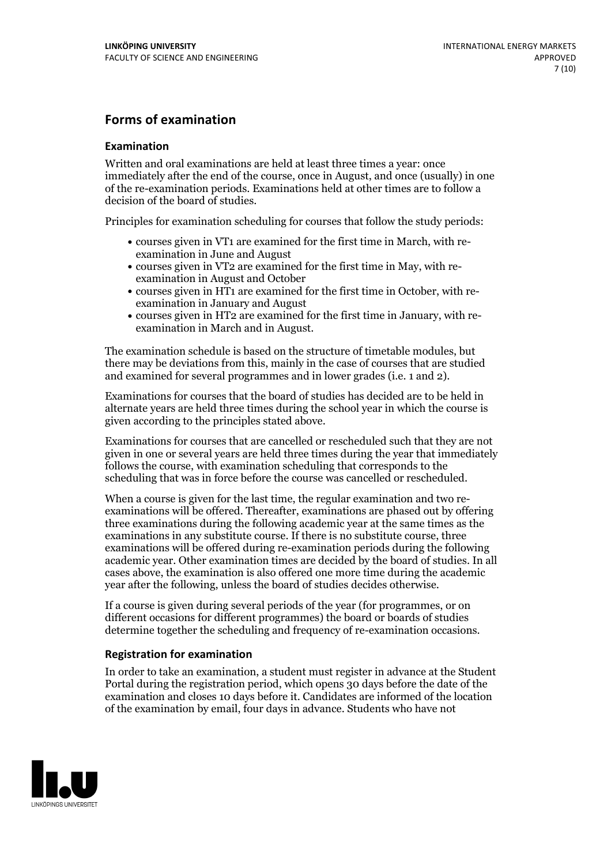#### **Forms of examination**

#### **Examination**

Written and oral examinations are held at least three times a year: once immediately after the end of the course, once in August, and once (usually) in one of the re-examination periods. Examinations held at other times are to follow a decision of the board of studies.

Principles for examination scheduling for courses that follow the study periods:

- courses given in VT1 are examined for the first time in March, with re-examination in June and August
- courses given in VT2 are examined for the first time in May, with re-examination in August and October
- courses given in HT1 are examined for the first time in October, with re-examination in January and August
- courses given in HT2 are examined for the first time in January, with re-examination in March and in August.

The examination schedule is based on the structure of timetable modules, but there may be deviations from this, mainly in the case of courses that are studied and examined for several programmes and in lower grades (i.e. 1 and 2).

Examinations for courses that the board of studies has decided are to be held in alternate years are held three times during the school year in which the course is given according to the principles stated above.

Examinations for courses that are cancelled orrescheduled such that they are not given in one or several years are held three times during the year that immediately follows the course, with examination scheduling that corresponds to the scheduling that was in force before the course was cancelled or rescheduled.

When a course is given for the last time, the regular examination and two re-<br>examinations will be offered. Thereafter, examinations are phased out by offering three examinations during the following academic year at the same times as the examinations in any substitute course. If there is no substitute course, three examinations will be offered during re-examination periods during the following academic year. Other examination times are decided by the board of studies. In all cases above, the examination is also offered one more time during the academic year after the following, unless the board of studies decides otherwise.

If a course is given during several periods of the year (for programmes, or on different occasions for different programmes) the board or boards of studies determine together the scheduling and frequency of re-examination occasions.

#### **Registration for examination**

In order to take an examination, a student must register in advance at the Student Portal during the registration period, which opens 30 days before the date of the examination and closes 10 days before it. Candidates are informed of the location of the examination by email, four days in advance. Students who have not

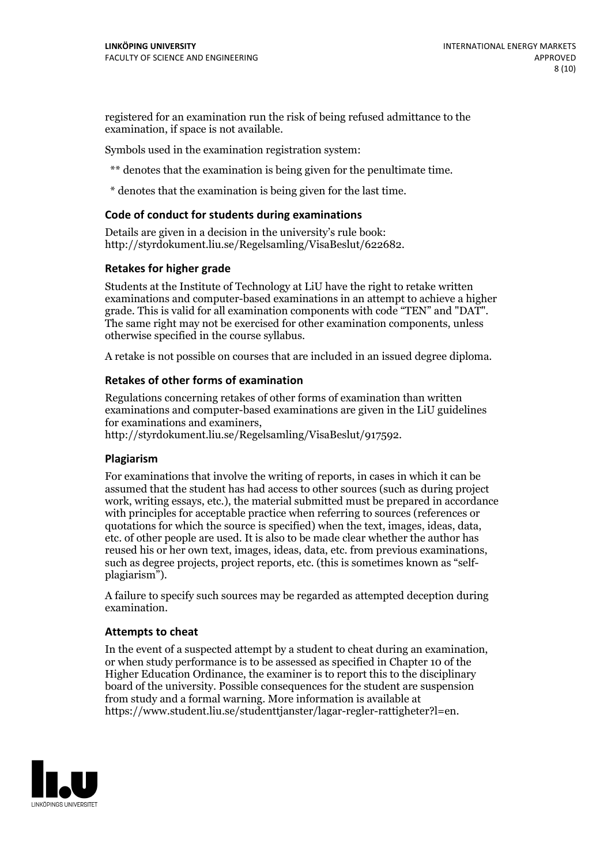registered for an examination run the risk of being refused admittance to the examination, if space is not available.

Symbols used in the examination registration system:

\*\* denotes that the examination is being given for the penultimate time.

\* denotes that the examination is being given for the last time.

#### **Code of conduct for students during examinations**

Details are given in a decision in the university's rule book: http://styrdokument.liu.se/Regelsamling/VisaBeslut/622682.

#### **Retakes for higher grade**

Students at the Institute of Technology at LiU have the right to retake written examinations and computer-based examinations in an attempt to achieve a higher grade. This is valid for all examination components with code "TEN" and "DAT". The same right may not be exercised for other examination components, unless otherwise specified in the course syllabus.

A retake is not possible on courses that are included in an issued degree diploma.

#### **Retakes of other forms of examination**

Regulations concerning retakes of other forms of examination than written examinations and computer-based examinations are given in the LiU guidelines

http://styrdokument.liu.se/Regelsamling/VisaBeslut/917592.

#### **Plagiarism**

For examinations that involve the writing of reports, in cases in which it can be assumed that the student has had access to other sources (such as during project work, writing essays, etc.), the material submitted must be prepared in accordance with principles for acceptable practice when referring to sources (references or quotations for which the source is specified) when the text, images, ideas, data,  $\vec{e}$  etc. of other people are used. It is also to be made clear whether the author has reused his or her own text, images, ideas, data, etc. from previous examinations, such as degree projects, project reports, etc. (this is sometimes known as "self- plagiarism").

A failure to specify such sources may be regarded as attempted deception during examination.

#### **Attempts to cheat**

In the event of <sup>a</sup> suspected attempt by <sup>a</sup> student to cheat during an examination, or when study performance is to be assessed as specified in Chapter <sup>10</sup> of the Higher Education Ordinance, the examiner is to report this to the disciplinary board of the university. Possible consequences for the student are suspension from study and a formal warning. More information is available at https://www.student.liu.se/studenttjanster/lagar-regler-rattigheter?l=en.

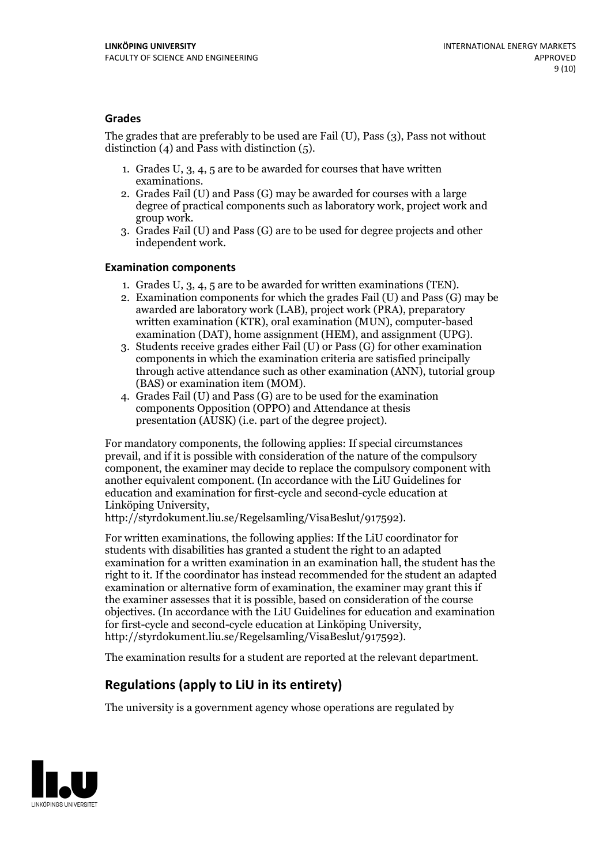#### **Grades**

The grades that are preferably to be used are Fail (U), Pass (3), Pass not without distinction  $(4)$  and Pass with distinction  $(5)$ .

- 1. Grades U, 3, 4, 5 are to be awarded for courses that have written
- examinations. 2. Grades Fail (U) and Pass (G) may be awarded for courses with <sup>a</sup> large degree of practical components such as laboratory work, project work and group work. 3. Grades Fail (U) and Pass (G) are to be used for degree projects and other
- independent work.

#### **Examination components**

- 
- 1. Grades U, 3, 4, <sup>5</sup> are to be awarded for written examinations (TEN). 2. Examination components for which the grades Fail (U) and Pass (G) may be awarded are laboratory work (LAB), project work (PRA), preparatory written examination (KTR), oral examination (MUN), computer-based
- examination (DAT), home assignment (HEM), and assignment (UPG). 3. Students receive grades either Fail (U) or Pass (G) for other examination components in which the examination criteria are satisfied principally through active attendance such as other examination (ANN), tutorial group (BAS) or examination item (MOM). 4. Grades Fail (U) and Pass (G) are to be used for the examination
- components Opposition (OPPO) and Attendance at thesis presentation (AUSK) (i.e. part of the degree project).

For mandatory components, the following applies: If special circumstances prevail, and if it is possible with consideration of the nature of the compulsory component, the examiner may decide to replace the compulsory component with another equivalent component. (In accordance with the LiU Guidelines for education and examination for first-cycle and second-cycle education at Linköping University, http://styrdokument.liu.se/Regelsamling/VisaBeslut/917592).

For written examinations, the following applies: If the LiU coordinator for students with disabilities has granted a student the right to an adapted examination for a written examination in an examination hall, the student has the right to it. If the coordinator has instead recommended for the student an adapted examination or alternative form of examination, the examiner may grant this if the examiner assesses that it is possible, based on consideration of the course objectives. (In accordance with the LiU Guidelines for education and examination for first-cycle and second-cycle education at Linköping University, http://styrdokument.liu.se/Regelsamling/VisaBeslut/917592).

The examination results for a student are reported at the relevant department.

### **Regulations (applyto LiU in its entirety)**

The university is a government agency whose operations are regulated by